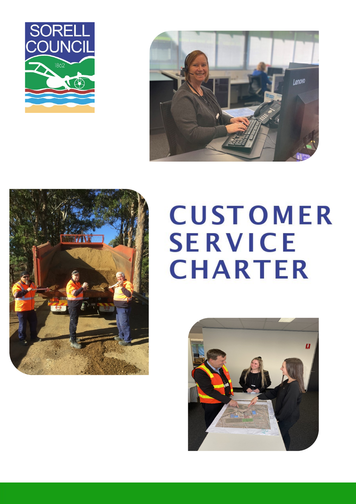





# **CUSTOMER SERVICE CHARTER**

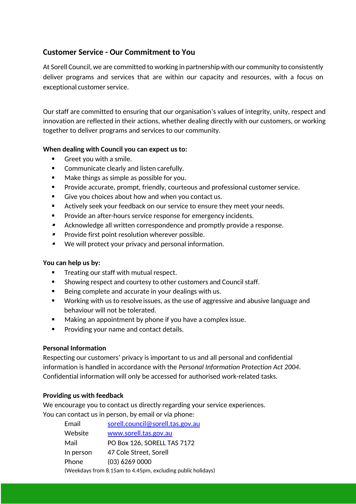# **Customer Service - Our Commitment to You**

At Sorell Council, we are committed to working in partnership with our community to consistently deliver programs and services that are within our capacity and resources, with a focus on exceptional customer service.

Our staff are committed to ensuring that our organisation's values of integrity, unity, respect and innovation are reflected in their actions, whether dealing directly with our customers, or working together to deliver programs and services to our community.

# **When dealing with Council you can expect us to:**

- Greet you with a smile.
- **EXEDENT** Communicate clearly and listen carefully.
- Make things as simple as possible for you.
- Provide accurate, prompt, friendly, courteous and professional customer service.
- Give you choices about how and when you contact us.
- Actively seek your feedback on our service to ensure they meet your needs.
- **Provide an after-hours service response for emergency incidents.**
- $\blacksquare$ Acknowledge all written correspondence and promptly provide a response.
- $\blacksquare$ Provide first point resolution wherever possible.
- $\blacksquare$ We will protect your privacy and personal information.

# **You can help us by:**

- Treating our staff with mutual respect.
- Showing respect and courtesy to other customers and Council staff.
- Being complete and accurate in your dealings with us.
- Working with us to resolve issues, as the use of aggressive and abusive language and behaviour will not be tolerated.
- **Making an appointment by phone if you have a complex issue.**
- **Providing your name and contact details.**

# **Personal Information**

Respecting our customers' privacy is important to us and all personal and confidential information is handled in accordance with the *Personal Information Protection Act 2004*. Confidential information will only be accessed for authorised work-related tasks.

# **Providing us with feedback**

We encourage you to contact us directly regarding your service experiences. You can contact us in person, by email or via phone:

| Email                                                       | sorell.council@sorell.tas.gov.au |  |
|-------------------------------------------------------------|----------------------------------|--|
| Website                                                     | www.sorell.tas.gov.au            |  |
| Mail                                                        | PO Box 126, SORELL TAS 7172      |  |
| In person                                                   | 47 Cole Street, Sorell           |  |
| Phone                                                       | $(03)$ 6269 0000                 |  |
| (Weekdays from 8.15am to 4.45pm, excluding public holidays) |                                  |  |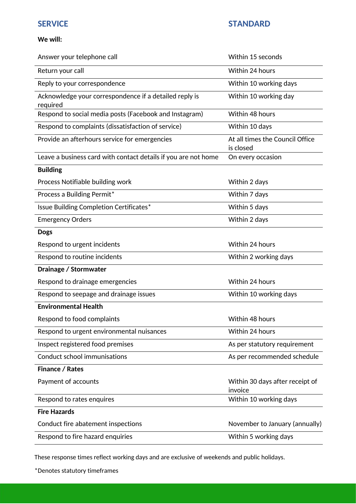# **We will:**

| Answer your telephone call                                         | Within 15 seconds                            |
|--------------------------------------------------------------------|----------------------------------------------|
| Return your call                                                   | Within 24 hours                              |
| Reply to your correspondence                                       | Within 10 working days                       |
| Acknowledge your correspondence if a detailed reply is<br>required | Within 10 working day                        |
| Respond to social media posts (Facebook and Instagram)             | Within 48 hours                              |
| Respond to complaints (dissatisfaction of service)                 | Within 10 days                               |
| Provide an afterhours service for emergencies                      | At all times the Council Office<br>is closed |
| Leave a business card with contact details if you are not home     | On every occasion                            |
| <b>Building</b>                                                    |                                              |
| Process Notifiable building work                                   | Within 2 days                                |
| Process a Building Permit*                                         | Within 7 days                                |
| Issue Building Completion Certificates*                            | Within 5 days                                |
| <b>Emergency Orders</b>                                            | Within 2 days                                |
| <b>Dogs</b>                                                        |                                              |
| Respond to urgent incidents                                        | Within 24 hours                              |
| Respond to routine incidents                                       | Within 2 working days                        |
| Drainage / Stormwater                                              |                                              |
| Respond to drainage emergencies                                    | Within 24 hours                              |
| Respond to seepage and drainage issues                             | Within 10 working days                       |
| <b>Environmental Health</b>                                        |                                              |
| Respond to food complaints                                         | Within 48 hours                              |
| Respond to urgent environmental nuisances                          | Within 24 hours                              |
| Inspect registered food premises                                   | As per statutory requirement                 |
| <b>Conduct school immunisations</b>                                | As per recommended schedule                  |
| <b>Finance / Rates</b>                                             |                                              |
| Payment of accounts                                                | Within 30 days after receipt of<br>invoice   |
| Respond to rates enquires                                          | Within 10 working days                       |
| <b>Fire Hazards</b>                                                |                                              |
| Conduct fire abatement inspections                                 | November to January (annually)               |
| Respond to fire hazard enquiries                                   | Within 5 working days                        |

These response times reflect working days and are exclusive of weekends and public holidays.

\*Denotes statutory timeframes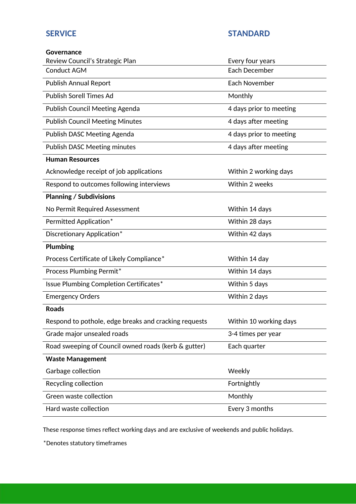# **SERVICE STANDARD**

| <b>Governance</b>                                     |                         |
|-------------------------------------------------------|-------------------------|
| Review Council's Strategic Plan                       | Every four years        |
| <b>Conduct AGM</b>                                    | <b>Each December</b>    |
| <b>Publish Annual Report</b>                          | Each November           |
| <b>Publish Sorell Times Ad</b>                        | Monthly                 |
| <b>Publish Council Meeting Agenda</b>                 | 4 days prior to meeting |
| <b>Publish Council Meeting Minutes</b>                | 4 days after meeting    |
| Publish DASC Meeting Agenda                           | 4 days prior to meeting |
| <b>Publish DASC Meeting minutes</b>                   | 4 days after meeting    |
| <b>Human Resources</b>                                |                         |
| Acknowledge receipt of job applications               | Within 2 working days   |
| Respond to outcomes following interviews              | Within 2 weeks          |
| <b>Planning / Subdivisions</b>                        |                         |
| No Permit Required Assessment                         | Within 14 days          |
| Permitted Application*                                | Within 28 days          |
| Discretionary Application*                            | Within 42 days          |
| <b>Plumbing</b>                                       |                         |
| Process Certificate of Likely Compliance*             | Within 14 day           |
| Process Plumbing Permit*                              | Within 14 days          |
| Issue Plumbing Completion Certificates*               | Within 5 days           |
| <b>Emergency Orders</b>                               | Within 2 days           |
| <b>Roads</b>                                          |                         |
| Respond to pothole, edge breaks and cracking requests | Within 10 working days  |
| Grade major unsealed roads                            | 3-4 times per year      |
| Road sweeping of Council owned roads (kerb & gutter)  | Each quarter            |
| <b>Waste Management</b>                               |                         |
| Garbage collection                                    | Weekly                  |
| Recycling collection                                  | Fortnightly             |
| Green waste collection                                | Monthly                 |
| Hard waste collection                                 | Every 3 months          |

These response times reflect working days and are exclusive of weekends and public holidays.

\*Denotes statutory timeframes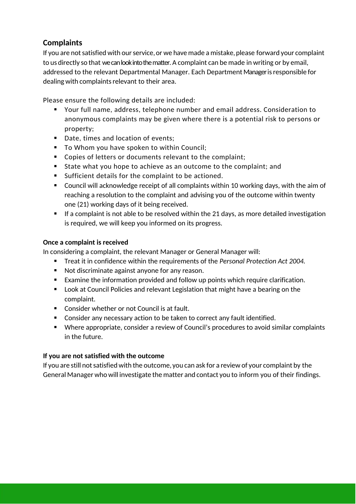# **Complaints**

If you are not satisfied with our service, or we have made a mistake, please forward your complaint to us directly so that wecanlookinto thematter. A complaint can be made in writing or by email, addressed to the relevant Departmental Manager. Each Department Manageris responsible for dealing with complaints relevant to their area.

Please ensure the following details are included:

- Your full name, address, telephone number and email address. Consideration to anonymous complaints may be given where there is a potential risk to persons or property;
- Date, times and location of events;
- To Whom you have spoken to within Council;
- Copies of letters or documents relevant to the complaint;
- State what you hope to achieve as an outcome to the complaint; and
- Sufficient details for the complaint to be actioned.
- Council will acknowledge receipt of all complaints within 10 working days, with the aim of reaching a resolution to the complaint and advising you of the outcome within twenty one (21) working days of it being received.
- $\blacksquare$  If a complaint is not able to be resolved within the 21 days, as more detailed investigation is required, we will keep you informed on its progress.

# **Once a complaint is received**

In considering a complaint, the relevant Manager or General Manager will:

- Treat it in confidence within the requirements of the *Personal Protection Act 2004.*
- Not discriminate against anyone for any reason.
- Examine the information provided and follow up points which require clarification.
- **Look at Council Policies and relevant Legislation that might have a bearing on the** complaint.
- **Consider whether or not Council is at fault.**
- Consider any necessary action to be taken to correct any fault identified.
- Where appropriate, consider a review of Council's procedures to avoid similar complaints in the future.

# **If you are not satisfied with the outcome**

If you are still not satisfied with the outcome, you can ask for a review of your complaint by the General Manager who will investigate the matter and contact you to inform you of their findings.